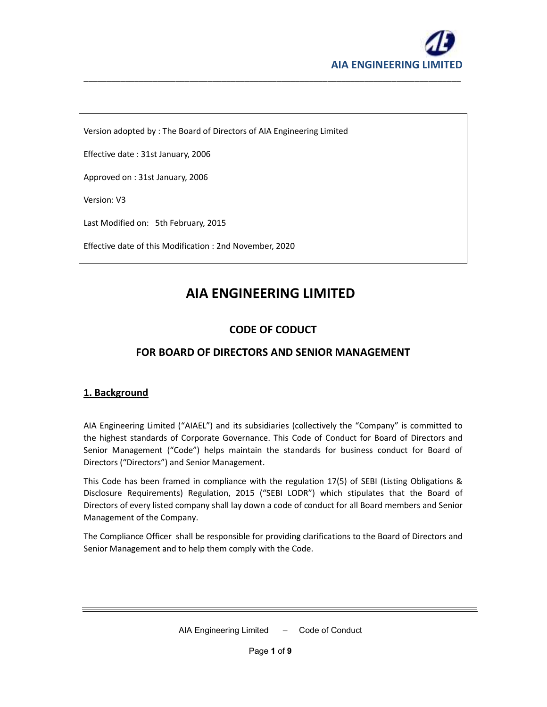

Version adopted by : The Board of Directors of AIA Engineering Limited

Effective date : 31st January, 2006

Approved on : 31st January, 2006

Version: V3

Last Modified on: 5th February, 2015

Effective date of this Modification : 2nd November, 2020

# **AIA ENGINEERING LIMITED**

\_\_\_\_\_\_\_\_\_\_\_\_\_\_\_\_\_\_\_\_\_\_\_\_\_\_\_\_\_\_\_\_\_\_\_\_\_\_\_\_\_\_\_\_\_\_\_\_\_\_\_\_\_\_\_\_\_\_\_\_\_\_\_\_\_\_\_\_\_\_\_\_\_\_\_\_\_\_\_\_\_\_

## **CODE OF CODUCT**

## **FOR BOARD OF DIRECTORS AND SENIOR MANAGEMENT**

## **1. Background**

AIA Engineering Limited ("AIAEL") and its subsidiaries (collectively the "Company" is committed to the highest standards of Corporate Governance. This Code of Conduct for Board of Directors and Senior Management ("Code") helps maintain the standards for business conduct for Board of Directors ("Directors") and Senior Management.

This Code has been framed in compliance with the regulation 17(5) of SEBI (Listing Obligations & Disclosure Requirements) Regulation, 2015 ("SEBI LODR") which stipulates that the Board of Directors of every listed company shall lay down a code of conduct for all Board members and Senior Management of the Company.

The Compliance Officer shall be responsible for providing clarifications to the Board of Directors and Senior Management and to help them comply with the Code.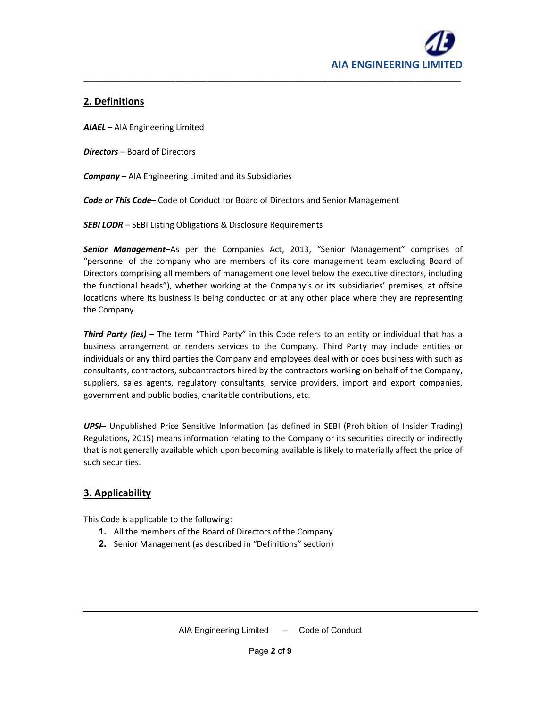

## **2. Definitions**

*AIAEL* – AIA Engineering Limited

*Directors* – Board of Directors

*Company* – AIA Engineering Limited and its Subsidiaries

*Code or This Code*– Code of Conduct for Board of Directors and Senior Management

**SEBI LODR** - SEBI Listing Obligations & Disclosure Requirements

*Senior Management*–As per the Companies Act, 2013, "Senior Management" comprises of "personnel of the company who are members of its core management team excluding Board of Directors comprising all members of management one level below the executive directors, including the functional heads"), whether working at the Company's or its subsidiaries' premises, at offsite locations where its business is being conducted or at any other place where they are representing the Company.

\_\_\_\_\_\_\_\_\_\_\_\_\_\_\_\_\_\_\_\_\_\_\_\_\_\_\_\_\_\_\_\_\_\_\_\_\_\_\_\_\_\_\_\_\_\_\_\_\_\_\_\_\_\_\_\_\_\_\_\_\_\_\_\_\_\_\_\_\_\_\_\_\_\_\_\_\_\_\_\_\_\_

*Third Party (ies)* – The term "Third Party" in this Code refers to an entity or individual that has a business arrangement or renders services to the Company. Third Party may include entities or individuals or any third parties the Company and employees deal with or does business with such as consultants, contractors, subcontractors hired by the contractors working on behalf of the Company, suppliers, sales agents, regulatory consultants, service providers, import and export companies, government and public bodies, charitable contributions, etc.

*UPSI*– Unpublished Price Sensitive Information (as defined in SEBI (Prohibition of Insider Trading) Regulations, 2015) means information relating to the Company or its securities directly or indirectly that is not generally available which upon becoming available is likely to materially affect the price of such securities.

## **3. Applicability**

This Code is applicable to the following:

- **1.** All the members of the Board of Directors of the Company
- **2.** Senior Management (as described in "Definitions" section)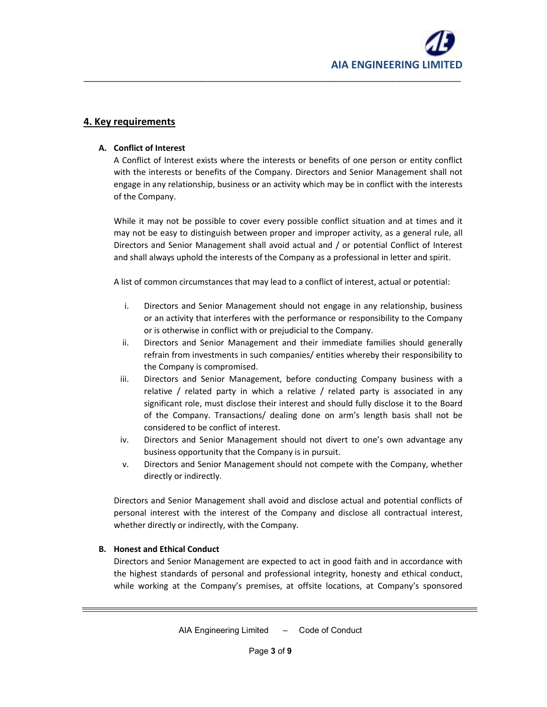

## **4. Key requirements**

#### **A. Conflict of Interest**

A Conflict of Interest exists where the interests or benefits of one person or entity conflict with the interests or benefits of the Company. Directors and Senior Management shall not engage in any relationship, business or an activity which may be in conflict with the interests of the Company.

\_\_\_\_\_\_\_\_\_\_\_\_\_\_\_\_\_\_\_\_\_\_\_\_\_\_\_\_\_\_\_\_\_\_\_\_\_\_\_\_\_\_\_\_\_\_\_\_\_\_\_\_\_\_\_\_\_\_\_\_\_\_\_\_\_\_\_\_\_\_\_\_\_\_\_\_\_\_\_\_\_\_

While it may not be possible to cover every possible conflict situation and at times and it may not be easy to distinguish between proper and improper activity, as a general rule, all Directors and Senior Management shall avoid actual and / or potential Conflict of Interest and shall always uphold the interests of the Company as a professional in letter and spirit.

A list of common circumstances that may lead to a conflict of interest, actual or potential:

- i. Directors and Senior Management should not engage in any relationship, business or an activity that interferes with the performance or responsibility to the Company or is otherwise in conflict with or prejudicial to the Company.
- ii. Directors and Senior Management and their immediate families should generally refrain from investments in such companies/ entities whereby their responsibility to the Company is compromised.
- iii. Directors and Senior Management, before conducting Company business with a relative / related party in which a relative / related party is associated in any significant role, must disclose their interest and should fully disclose it to the Board of the Company. Transactions/ dealing done on arm's length basis shall not be considered to be conflict of interest.
- iv. Directors and Senior Management should not divert to one's own advantage any business opportunity that the Company is in pursuit.
- v. Directors and Senior Management should not compete with the Company, whether directly or indirectly.

Directors and Senior Management shall avoid and disclose actual and potential conflicts of personal interest with the interest of the Company and disclose all contractual interest, whether directly or indirectly, with the Company.

#### **B. Honest and Ethical Conduct**

Directors and Senior Management are expected to act in good faith and in accordance with the highest standards of personal and professional integrity, honesty and ethical conduct, while working at the Company's premises, at offsite locations, at Company's sponsored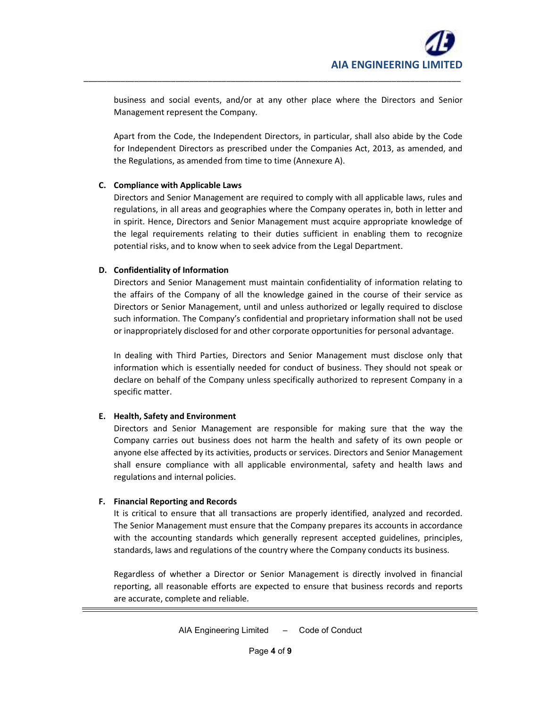business and social events, and/or at any other place where the Directors and Senior Management represent the Company.

\_\_\_\_\_\_\_\_\_\_\_\_\_\_\_\_\_\_\_\_\_\_\_\_\_\_\_\_\_\_\_\_\_\_\_\_\_\_\_\_\_\_\_\_\_\_\_\_\_\_\_\_\_\_\_\_\_\_\_\_\_\_\_\_\_\_\_\_\_\_\_\_\_\_\_\_\_\_\_\_\_\_

Apart from the Code, the Independent Directors, in particular, shall also abide by the Code for Independent Directors as prescribed under the Companies Act, 2013, as amended, and the Regulations, as amended from time to time (Annexure A).

### **C. Compliance with Applicable Laws**

Directors and Senior Management are required to comply with all applicable laws, rules and regulations, in all areas and geographies where the Company operates in, both in letter and in spirit. Hence, Directors and Senior Management must acquire appropriate knowledge of the legal requirements relating to their duties sufficient in enabling them to recognize potential risks, and to know when to seek advice from the Legal Department.

## **D. Confidentiality of Information**

Directors and Senior Management must maintain confidentiality of information relating to the affairs of the Company of all the knowledge gained in the course of their service as Directors or Senior Management, until and unless authorized or legally required to disclose such information. The Company's confidential and proprietary information shall not be used or inappropriately disclosed for and other corporate opportunities for personal advantage.

In dealing with Third Parties, Directors and Senior Management must disclose only that information which is essentially needed for conduct of business. They should not speak or declare on behalf of the Company unless specifically authorized to represent Company in a specific matter.

## **E. Health, Safety and Environment**

Directors and Senior Management are responsible for making sure that the way the Company carries out business does not harm the health and safety of its own people or anyone else affected by its activities, products or services. Directors and Senior Management shall ensure compliance with all applicable environmental, safety and health laws and regulations and internal policies.

## **F. Financial Reporting and Records**

It is critical to ensure that all transactions are properly identified, analyzed and recorded. The Senior Management must ensure that the Company prepares its accounts in accordance with the accounting standards which generally represent accepted guidelines, principles, standards, laws and regulations of the country where the Company conducts its business.

Regardless of whether a Director or Senior Management is directly involved in financial reporting, all reasonable efforts are expected to ensure that business records and reports are accurate, complete and reliable.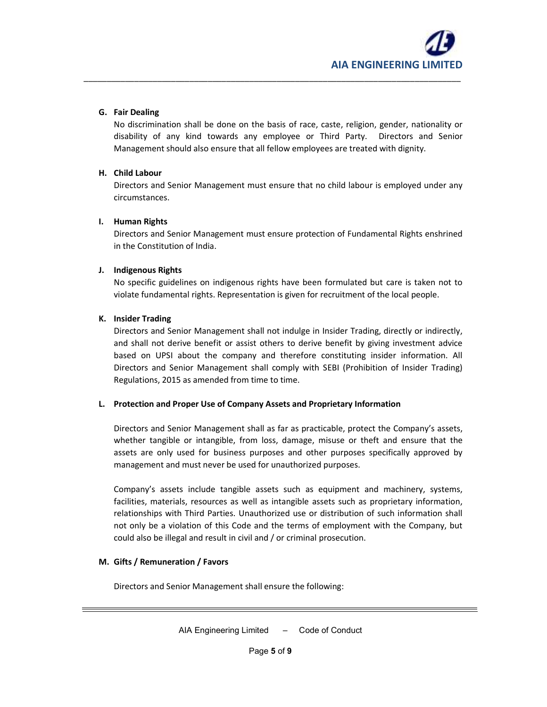#### **G. Fair Dealing**

No discrimination shall be done on the basis of race, caste, religion, gender, nationality or disability of any kind towards any employee or Third Party. Directors and Senior Management should also ensure that all fellow employees are treated with dignity.

\_\_\_\_\_\_\_\_\_\_\_\_\_\_\_\_\_\_\_\_\_\_\_\_\_\_\_\_\_\_\_\_\_\_\_\_\_\_\_\_\_\_\_\_\_\_\_\_\_\_\_\_\_\_\_\_\_\_\_\_\_\_\_\_\_\_\_\_\_\_\_\_\_\_\_\_\_\_\_\_\_\_

#### **H. Child Labour**

Directors and Senior Management must ensure that no child labour is employed under any circumstances.

#### **I. Human Rights**

Directors and Senior Management must ensure protection of Fundamental Rights enshrined in the Constitution of India.

#### **J. Indigenous Rights**

No specific guidelines on indigenous rights have been formulated but care is taken not to violate fundamental rights. Representation is given for recruitment of the local people.

#### **K. Insider Trading**

Directors and Senior Management shall not indulge in Insider Trading, directly or indirectly, and shall not derive benefit or assist others to derive benefit by giving investment advice based on UPSI about the company and therefore constituting insider information. All Directors and Senior Management shall comply with SEBI (Prohibition of Insider Trading) Regulations, 2015 as amended from time to time.

#### **L. Protection and Proper Use of Company Assets and Proprietary Information**

Directors and Senior Management shall as far as practicable, protect the Company's assets, whether tangible or intangible, from loss, damage, misuse or theft and ensure that the assets are only used for business purposes and other purposes specifically approved by management and must never be used for unauthorized purposes.

Company's assets include tangible assets such as equipment and machinery, systems, facilities, materials, resources as well as intangible assets such as proprietary information, relationships with Third Parties. Unauthorized use or distribution of such information shall not only be a violation of this Code and the terms of employment with the Company, but could also be illegal and result in civil and / or criminal prosecution.

#### **M. Gifts / Remuneration / Favors**

Directors and Senior Management shall ensure the following: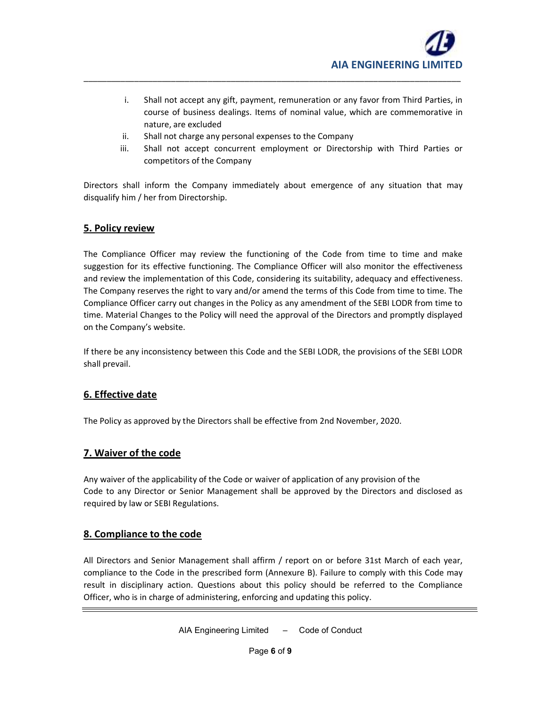- i. Shall not accept any gift, payment, remuneration or any favor from Third Parties, in course of business dealings. Items of nominal value, which are commemorative in nature, are excluded
- ii. Shall not charge any personal expenses to the Company
- iii. Shall not accept concurrent employment or Directorship with Third Parties or competitors of the Company

Directors shall inform the Company immediately about emergence of any situation that may disqualify him / her from Directorship.

\_\_\_\_\_\_\_\_\_\_\_\_\_\_\_\_\_\_\_\_\_\_\_\_\_\_\_\_\_\_\_\_\_\_\_\_\_\_\_\_\_\_\_\_\_\_\_\_\_\_\_\_\_\_\_\_\_\_\_\_\_\_\_\_\_\_\_\_\_\_\_\_\_\_\_\_\_\_\_\_\_\_

## **5. Policy review**

The Compliance Officer may review the functioning of the Code from time to time and make suggestion for its effective functioning. The Compliance Officer will also monitor the effectiveness and review the implementation of this Code, considering its suitability, adequacy and effectiveness. The Company reserves the right to vary and/or amend the terms of this Code from time to time. The Compliance Officer carry out changes in the Policy as any amendment of the SEBI LODR from time to time. Material Changes to the Policy will need the approval of the Directors and promptly displayed on the Company's website.

If there be any inconsistency between this Code and the SEBI LODR, the provisions of the SEBI LODR shall prevail.

## **6. Effective date**

The Policy as approved by the Directors shall be effective from 2nd November, 2020.

## **7. Waiver of the code**

Any waiver of the applicability of the Code or waiver of application of any provision of the Code to any Director or Senior Management shall be approved by the Directors and disclosed as required by law or SEBI Regulations.

## **8. Compliance to the code**

All Directors and Senior Management shall affirm / report on or before 31st March of each year, compliance to the Code in the prescribed form (Annexure B). Failure to comply with this Code may result in disciplinary action. Questions about this policy should be referred to the Compliance Officer, who is in charge of administering, enforcing and updating this policy.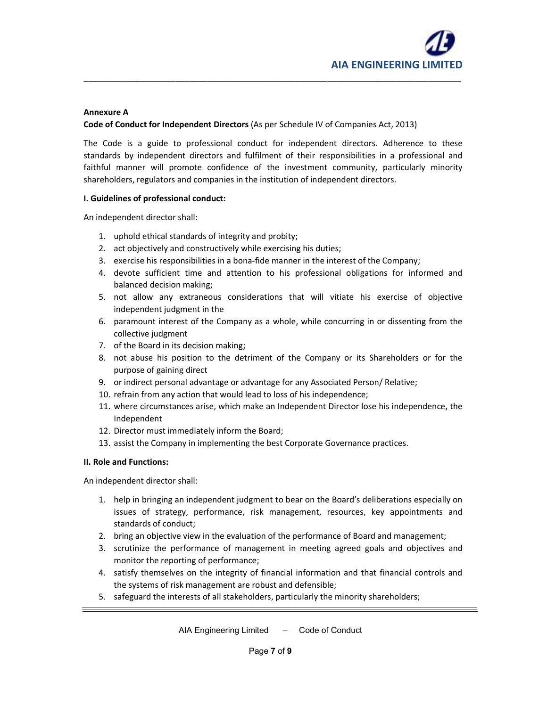#### **Annexure A**

#### **Code of Conduct for Independent Directors** (As per Schedule IV of Companies Act, 2013)

The Code is a guide to professional conduct for independent directors. Adherence to these standards by independent directors and fulfilment of their responsibilities in a professional and faithful manner will promote confidence of the investment community, particularly minority shareholders, regulators and companies in the institution of independent directors.

\_\_\_\_\_\_\_\_\_\_\_\_\_\_\_\_\_\_\_\_\_\_\_\_\_\_\_\_\_\_\_\_\_\_\_\_\_\_\_\_\_\_\_\_\_\_\_\_\_\_\_\_\_\_\_\_\_\_\_\_\_\_\_\_\_\_\_\_\_\_\_\_\_\_\_\_\_\_\_\_\_\_

#### **I. Guidelines of professional conduct:**

An independent director shall:

- 1. uphold ethical standards of integrity and probity;
- 2. act objectively and constructively while exercising his duties;
- 3. exercise his responsibilities in a bona-fide manner in the interest of the Company;
- 4. devote sufficient time and attention to his professional obligations for informed and balanced decision making;
- 5. not allow any extraneous considerations that will vitiate his exercise of objective independent judgment in the
- 6. paramount interest of the Company as a whole, while concurring in or dissenting from the collective judgment
- 7. of the Board in its decision making;
- 8. not abuse his position to the detriment of the Company or its Shareholders or for the purpose of gaining direct
- 9. or indirect personal advantage or advantage for any Associated Person/ Relative;
- 10. refrain from any action that would lead to loss of his independence;
- 11. where circumstances arise, which make an Independent Director lose his independence, the Independent
- 12. Director must immediately inform the Board;
- 13. assist the Company in implementing the best Corporate Governance practices.

#### **II. Role and Functions:**

An independent director shall:

- 1. help in bringing an independent judgment to bear on the Board's deliberations especially on issues of strategy, performance, risk management, resources, key appointments and standards of conduct;
- 2. bring an objective view in the evaluation of the performance of Board and management;
- 3. scrutinize the performance of management in meeting agreed goals and objectives and monitor the reporting of performance;
- 4. satisfy themselves on the integrity of financial information and that financial controls and the systems of risk management are robust and defensible;
- 5. safeguard the interests of all stakeholders, particularly the minority shareholders;

AIA Engineering Limited – Code of Conduct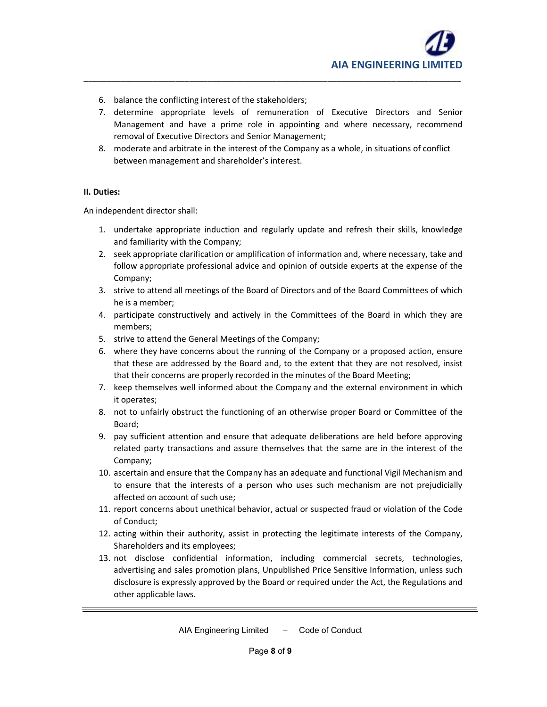

- 6. balance the conflicting interest of the stakeholders;
- 7. determine appropriate levels of remuneration of Executive Directors and Senior Management and have a prime role in appointing and where necessary, recommend removal of Executive Directors and Senior Management;

\_\_\_\_\_\_\_\_\_\_\_\_\_\_\_\_\_\_\_\_\_\_\_\_\_\_\_\_\_\_\_\_\_\_\_\_\_\_\_\_\_\_\_\_\_\_\_\_\_\_\_\_\_\_\_\_\_\_\_\_\_\_\_\_\_\_\_\_\_\_\_\_\_\_\_\_\_\_\_\_\_\_

8. moderate and arbitrate in the interest of the Company as a whole, in situations of conflict between management and shareholder's interest.

#### **II. Duties:**

An independent director shall:

- 1. undertake appropriate induction and regularly update and refresh their skills, knowledge and familiarity with the Company;
- 2. seek appropriate clarification or amplification of information and, where necessary, take and follow appropriate professional advice and opinion of outside experts at the expense of the Company;
- 3. strive to attend all meetings of the Board of Directors and of the Board Committees of which he is a member;
- 4. participate constructively and actively in the Committees of the Board in which they are members;
- 5. strive to attend the General Meetings of the Company;
- 6. where they have concerns about the running of the Company or a proposed action, ensure that these are addressed by the Board and, to the extent that they are not resolved, insist that their concerns are properly recorded in the minutes of the Board Meeting;
- 7. keep themselves well informed about the Company and the external environment in which it operates;
- 8. not to unfairly obstruct the functioning of an otherwise proper Board or Committee of the Board;
- 9. pay sufficient attention and ensure that adequate deliberations are held before approving related party transactions and assure themselves that the same are in the interest of the Company;
- 10. ascertain and ensure that the Company has an adequate and functional Vigil Mechanism and to ensure that the interests of a person who uses such mechanism are not prejudicially affected on account of such use;
- 11. report concerns about unethical behavior, actual or suspected fraud or violation of the Code of Conduct;
- 12. acting within their authority, assist in protecting the legitimate interests of the Company, Shareholders and its employees;
- 13. not disclose confidential information, including commercial secrets, technologies, advertising and sales promotion plans, Unpublished Price Sensitive Information, unless such disclosure is expressly approved by the Board or required under the Act, the Regulations and other applicable laws.